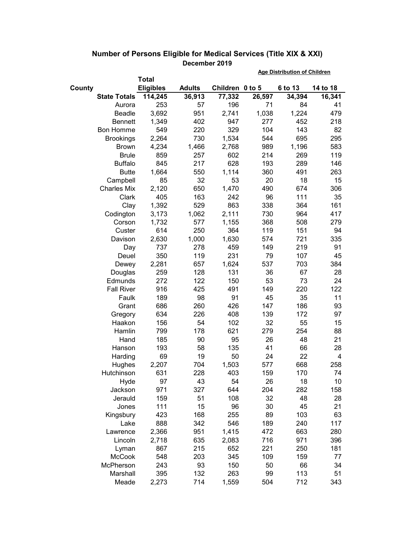|        |                     |                  |               |                 | <b>Age Distribution of Children</b> |         |          |  |
|--------|---------------------|------------------|---------------|-----------------|-------------------------------------|---------|----------|--|
|        |                     | <b>Total</b>     |               |                 |                                     |         |          |  |
| County |                     | <b>Eligibles</b> | <b>Adults</b> | Children 0 to 5 |                                     | 6 to 13 | 14 to 18 |  |
|        | <b>State Totals</b> | 114,245          | 36,913        | 77,332          | 26,597                              | 34,394  | 16,341   |  |
|        | Aurora              | 253              | 57            | 196             | 71                                  | 84      | 41       |  |
|        | <b>Beadle</b>       | 3,692            | 951           | 2,741           | 1,038                               | 1,224   | 479      |  |
|        | <b>Bennett</b>      | 1,349            | 402           | 947             | 277                                 | 452     | 218      |  |
|        | <b>Bon Homme</b>    | 549              | 220           | 329             | 104                                 | 143     | 82       |  |
|        | <b>Brookings</b>    | 2,264            | 730           | 1,534           | 544                                 | 695     | 295      |  |
|        | <b>Brown</b>        | 4,234            | 1,466         | 2,768           | 989                                 | 1,196   | 583      |  |
|        | <b>Brule</b>        | 859              | 257           | 602             | 214                                 | 269     | 119      |  |
|        | <b>Buffalo</b>      | 845              | 217           | 628             | 193                                 | 289     | 146      |  |
|        | <b>Butte</b>        | 1,664            | 550           | 1,114           | 360                                 | 491     | 263      |  |
|        | Campbell            | 85               | 32            | 53              | 20                                  | 18      | 15       |  |
|        | <b>Charles Mix</b>  | 2,120            | 650           | 1,470           | 490                                 | 674     | 306      |  |
|        | Clark               | 405              | 163           | 242             | 96                                  | 111     | 35       |  |
|        | Clay                | 1,392            | 529           | 863             | 338                                 | 364     | 161      |  |
|        | Codington           | 3,173            | 1,062         | 2,111           | 730                                 | 964     | 417      |  |
|        | Corson              | 1,732            | 577           | 1,155           | 368                                 | 508     | 279      |  |
|        | Custer              | 614              | 250           | 364             | 119                                 | 151     | 94       |  |
|        | Davison             | 2,630            | 1,000         | 1,630           | 574                                 | 721     | 335      |  |
|        | Day                 | 737              | 278           | 459             | 149                                 | 219     | 91       |  |
|        | Deuel               | 350              | 119           | 231             | 79                                  | 107     | 45       |  |
|        | Dewey               | 2,281            | 657           | 1,624           | 537                                 | 703     | 384      |  |
|        | Douglas             | 259              | 128           | 131             | 36                                  | 67      | 28       |  |
|        | Edmunds             | 272              | 122           | 150             | 53                                  | 73      | 24       |  |
|        | <b>Fall River</b>   | 916              | 425           | 491             | 149                                 | 220     | 122      |  |
|        | Faulk               | 189              | 98            | 91              | 45                                  | 35      | 11       |  |
|        | Grant               | 686              | 260           | 426             | 147                                 | 186     | 93       |  |
|        | Gregory             | 634              | 226           | 408             | 139                                 | 172     | 97       |  |
|        | Haakon              | 156              | 54            | 102             | 32                                  | 55      | 15       |  |
|        | Hamlin              | 799              | 178           | 621             | 279                                 | 254     | 88       |  |
|        | Hand                | 185              | 90            | 95              | 26                                  | 48      | 21       |  |
|        | Hanson              | 193              | 58            | 135             | 41                                  | 66      | 28       |  |
|        | Harding             | 69               | 19            | 50              | 24                                  | 22      | 4        |  |
|        | Hughes              | 2,207            | 704           | 1,503           | 577                                 | 668     | 258      |  |
|        | Hutchinson          | 631              | 228           | 403             | 159                                 | 170     | 74       |  |
|        | Hyde                | 97               | 43            | 54              | 26                                  | 18      | 10       |  |
|        | Jackson             | 971              | 327           | 644             | 204                                 | 282     | 158      |  |
|        | Jerauld             | 159              | 51            | 108             | 32                                  | 48      | 28       |  |
|        | Jones               | 111              | 15            | 96              | 30                                  | 45      | 21       |  |
|        | Kingsbury           | 423              | 168           | 255             | 89                                  | 103     | 63       |  |
|        | Lake                | 888              | 342           | 546             | 189                                 | 240     | 117      |  |
|        | Lawrence            | 2,366            | 951           | 1,415           | 472                                 | 663     | 280      |  |
|        | Lincoln             | 2,718            | 635           | 2,083           | 716                                 | 971     | 396      |  |
|        | Lyman               | 867              | 215           | 652             | 221                                 | 250     | 181      |  |
|        | McCook              | 548              | 203           | 345             | 109                                 | 159     | 77       |  |
|        | McPherson           | 243              | 93            | 150             | 50                                  | 66      | 34       |  |
|        | Marshall            | 395              | 132           | 263             | 99                                  | 113     | 51       |  |
|        | Meade               | 2,273            | 714           | 1,559           | 504                                 | 712     | 343      |  |

## **Number of Persons Eligible for Medical Services (Title XIX & XXI) December 2019**